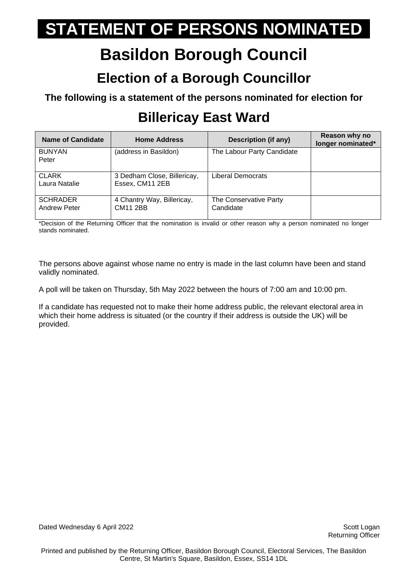## **Basildon Borough Council**

#### **Election of a Borough Councillor**

**The following is a statement of the persons nominated for election for**

### **Billericay East Ward**

| Name of Candidate                      | <b>Home Address</b>                            | Description (if any)                | Reason why no<br>longer nominated* |
|----------------------------------------|------------------------------------------------|-------------------------------------|------------------------------------|
| <b>BUNYAN</b><br>Peter                 | (address in Basildon)                          | The Labour Party Candidate          |                                    |
| <b>CLARK</b><br>Laura Natalie          | 3 Dedham Close, Billericay,<br>Essex, CM11 2EB | Liberal Democrats                   |                                    |
| <b>SCHRADER</b><br><b>Andrew Peter</b> | 4 Chantry Way, Billericay,<br><b>CM11 2BB</b>  | The Conservative Party<br>Candidate |                                    |

\*Decision of the Returning Officer that the nomination is invalid or other reason why a person nominated no longer stands nominated.

The persons above against whose name no entry is made in the last column have been and stand validly nominated.

A poll will be taken on Thursday, 5th May 2022 between the hours of 7:00 am and 10:00 pm.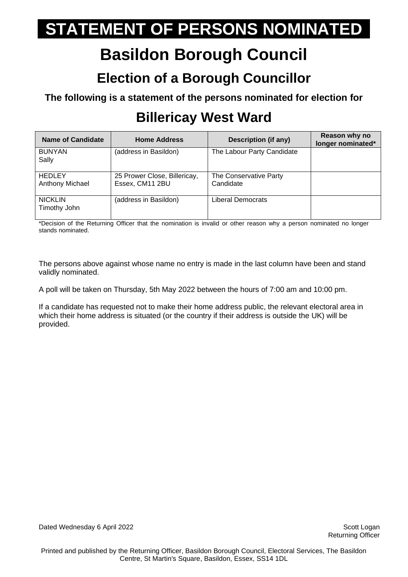## **Basildon Borough Council**

#### **Election of a Borough Councillor**

**The following is a statement of the persons nominated for election for**

### **Billericay West Ward**

| <b>Name of Candidate</b>         | <b>Home Address</b>                             | Description (if any)                | Reason why no<br>longer nominated* |
|----------------------------------|-------------------------------------------------|-------------------------------------|------------------------------------|
| <b>BUNYAN</b><br>Sally           | (address in Basildon)                           | The Labour Party Candidate          |                                    |
| <b>HEDLEY</b><br>Anthony Michael | 25 Prower Close, Billericay,<br>Essex, CM11 2BU | The Conservative Party<br>Candidate |                                    |
| <b>NICKLIN</b><br>Timothy John   | (address in Basildon)                           | Liberal Democrats                   |                                    |

\*Decision of the Returning Officer that the nomination is invalid or other reason why a person nominated no longer stands nominated.

The persons above against whose name no entry is made in the last column have been and stand validly nominated.

A poll will be taken on Thursday, 5th May 2022 between the hours of 7:00 am and 10:00 pm.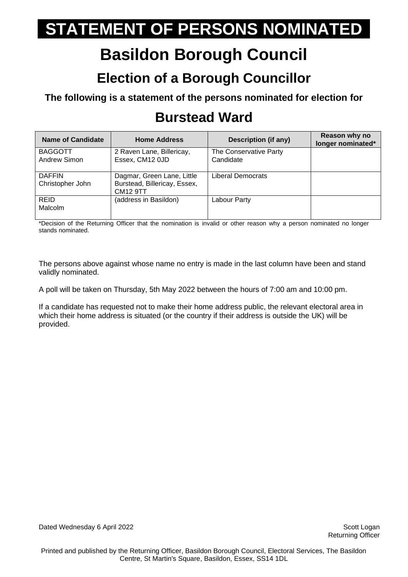## **Basildon Borough Council**

#### **Election of a Borough Councillor**

**The following is a statement of the persons nominated for election for**

#### **Burstead Ward**

| <b>Name of Candidate</b>          | <b>Home Address</b>                                                    | Description (if any)                | Reason why no<br>longer nominated* |
|-----------------------------------|------------------------------------------------------------------------|-------------------------------------|------------------------------------|
| <b>BAGGOTT</b><br>Andrew Simon    | 2 Raven Lane, Billericay,<br>Essex, CM12 0JD                           | The Conservative Party<br>Candidate |                                    |
| <b>DAFFIN</b><br>Christopher John | Dagmar, Green Lane, Little<br>Burstead, Billericay, Essex,<br>CM12 9TT | Liberal Democrats                   |                                    |
| <b>REID</b><br>Malcolm            | (address in Basildon)                                                  | Labour Party                        |                                    |

\*Decision of the Returning Officer that the nomination is invalid or other reason why a person nominated no longer stands nominated.

The persons above against whose name no entry is made in the last column have been and stand validly nominated.

A poll will be taken on Thursday, 5th May 2022 between the hours of 7:00 am and 10:00 pm.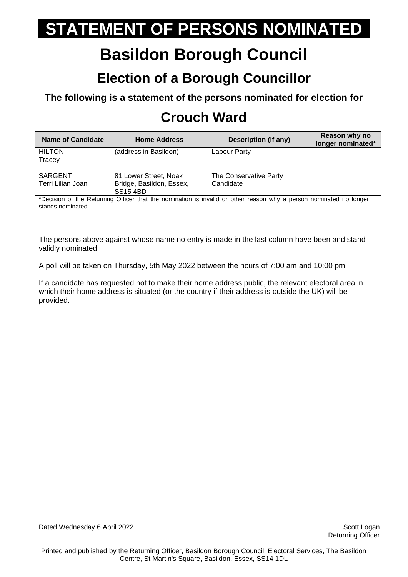## **Basildon Borough Council**

#### **Election of a Borough Councillor**

**The following is a statement of the persons nominated for election for**

### **Crouch Ward**

| <b>Name of Candidate</b>            | <b>Home Address</b>                                                  | <b>Description (if any)</b>         | Reason why no<br>longer nominated* |
|-------------------------------------|----------------------------------------------------------------------|-------------------------------------|------------------------------------|
| <b>HILTON</b><br>Tracey             | (address in Basildon)                                                | Labour Party                        |                                    |
| <b>SARGENT</b><br>Terri Lilian Joan | 81 Lower Street, Noak<br>Bridge, Basildon, Essex,<br><b>SS15 4BD</b> | The Conservative Party<br>Candidate |                                    |

\*Decision of the Returning Officer that the nomination is invalid or other reason why a person nominated no longer stands nominated.

The persons above against whose name no entry is made in the last column have been and stand validly nominated.

A poll will be taken on Thursday, 5th May 2022 between the hours of 7:00 am and 10:00 pm.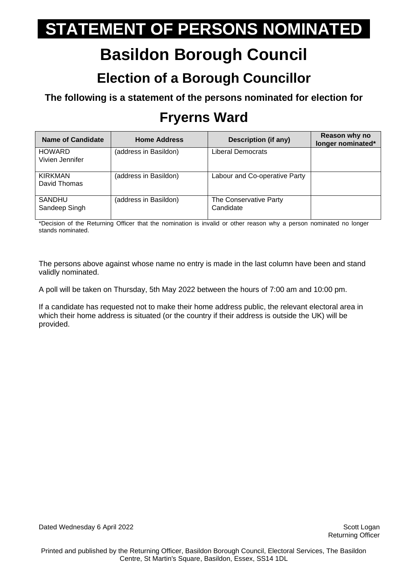## **Basildon Borough Council**

#### **Election of a Borough Councillor**

**The following is a statement of the persons nominated for election for**

### **Fryerns Ward**

| Name of Candidate                | <b>Home Address</b>   | <b>Description (if any)</b>         | Reason why no<br>longer nominated* |
|----------------------------------|-----------------------|-------------------------------------|------------------------------------|
| <b>HOWARD</b><br>Vivien Jennifer | (address in Basildon) | Liberal Democrats                   |                                    |
| KIRKMAN<br>David Thomas          | (address in Basildon) | Labour and Co-operative Party       |                                    |
| <b>SANDHU</b><br>Sandeep Singh   | (address in Basildon) | The Conservative Party<br>Candidate |                                    |

\*Decision of the Returning Officer that the nomination is invalid or other reason why a person nominated no longer stands nominated.

The persons above against whose name no entry is made in the last column have been and stand validly nominated.

A poll will be taken on Thursday, 5th May 2022 between the hours of 7:00 am and 10:00 pm.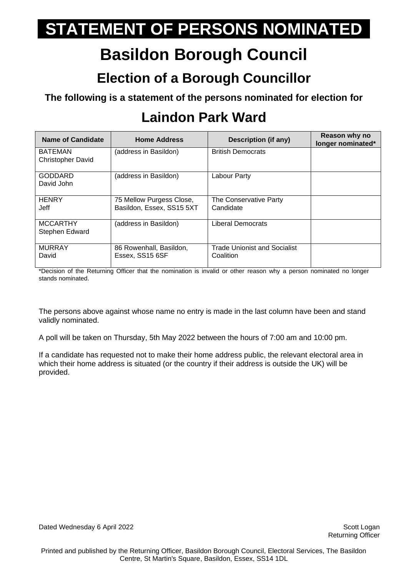## **Basildon Borough Council**

#### **Election of a Borough Councillor**

**The following is a statement of the persons nominated for election for**

### **Laindon Park Ward**

| <b>Name of Candidate</b>                   | <b>Home Address</b>                                   | <b>Description (if any)</b>                      | Reason why no<br>longer nominated* |
|--------------------------------------------|-------------------------------------------------------|--------------------------------------------------|------------------------------------|
| <b>BATEMAN</b><br><b>Christopher David</b> | (address in Basildon)                                 | <b>British Democrats</b>                         |                                    |
| <b>GODDARD</b><br>David John               | (address in Basildon)                                 | Labour Party                                     |                                    |
| <b>HENRY</b><br>Jeff                       | 75 Mellow Purgess Close,<br>Basildon, Essex, SS15 5XT | The Conservative Party<br>Candidate              |                                    |
| <b>MCCARTHY</b><br>Stephen Edward          | (address in Basildon)                                 | Liberal Democrats                                |                                    |
| <b>MURRAY</b><br>David                     | 86 Rowenhall, Basildon,<br>Essex, SS15 6SF            | <b>Trade Unionist and Socialist</b><br>Coalition |                                    |

\*Decision of the Returning Officer that the nomination is invalid or other reason why a person nominated no longer stands nominated.

The persons above against whose name no entry is made in the last column have been and stand validly nominated.

A poll will be taken on Thursday, 5th May 2022 between the hours of 7:00 am and 10:00 pm.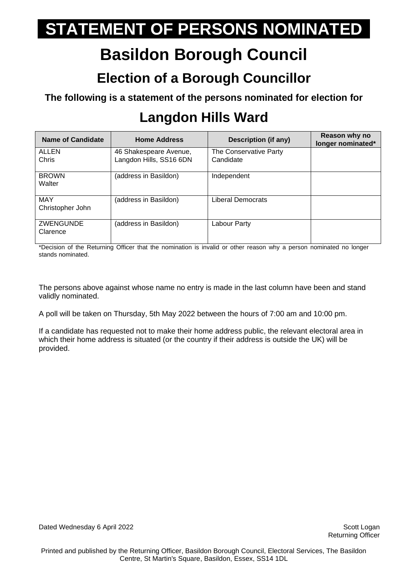## **Basildon Borough Council**

#### **Election of a Borough Councillor**

**The following is a statement of the persons nominated for election for**

### **Langdon Hills Ward**

| <b>Name of Candidate</b>       | <b>Home Address</b>                               | Description (if any)                | Reason why no<br>longer nominated* |
|--------------------------------|---------------------------------------------------|-------------------------------------|------------------------------------|
| <b>ALLEN</b><br>Chris          | 46 Shakespeare Avenue,<br>Langdon Hills, SS16 6DN | The Conservative Party<br>Candidate |                                    |
| <b>BROWN</b><br>Walter         | (address in Basildon)                             | Independent                         |                                    |
| <b>MAY</b><br>Christopher John | (address in Basildon)                             | Liberal Democrats                   |                                    |
| <b>ZWENGUNDE</b><br>Clarence   | (address in Basildon)                             | Labour Party                        |                                    |

\*Decision of the Returning Officer that the nomination is invalid or other reason why a person nominated no longer stands nominated.

The persons above against whose name no entry is made in the last column have been and stand validly nominated.

A poll will be taken on Thursday, 5th May 2022 between the hours of 7:00 am and 10:00 pm.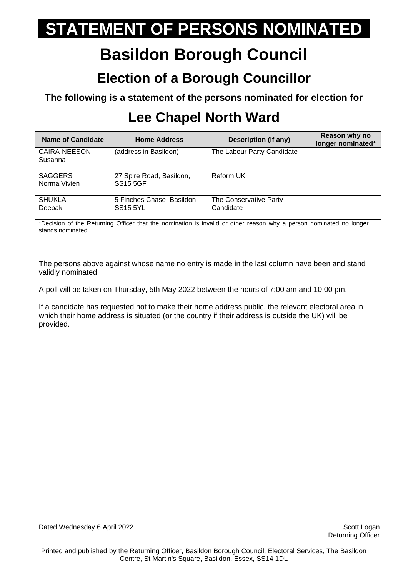## **Basildon Borough Council**

#### **Election of a Borough Councillor**

**The following is a statement of the persons nominated for election for**

### **Lee Chapel North Ward**

| <b>Name of Candidate</b>       | <b>Home Address</b>                           | Description (if any)                | Reason why no<br>longer nominated* |
|--------------------------------|-----------------------------------------------|-------------------------------------|------------------------------------|
| CAIRA-NEESON<br>Susanna        | (address in Basildon)                         | The Labour Party Candidate          |                                    |
| <b>SAGGERS</b><br>Norma Vivien | 27 Spire Road, Basildon,<br><b>SS15 5GF</b>   | Reform UK                           |                                    |
| <b>SHUKLA</b><br>Deepak        | 5 Finches Chase, Basildon,<br><b>SS15 5YL</b> | The Conservative Party<br>Candidate |                                    |

\*Decision of the Returning Officer that the nomination is invalid or other reason why a person nominated no longer stands nominated.

The persons above against whose name no entry is made in the last column have been and stand validly nominated.

A poll will be taken on Thursday, 5th May 2022 between the hours of 7:00 am and 10:00 pm.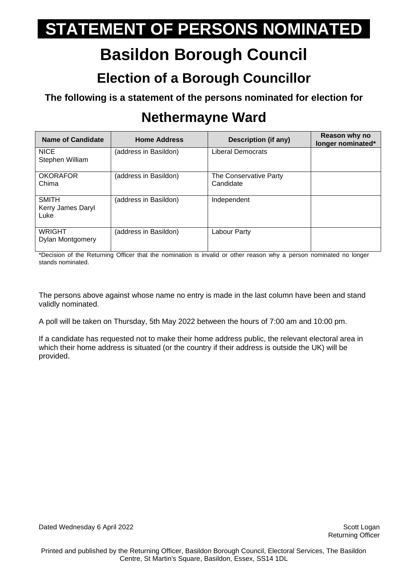## **Basildon Borough Council**

#### **Election of a Borough Councillor**

**The following is a statement of the persons nominated for election for**

### **Nethermayne Ward**

| Name of Candidate                         | <b>Home Address</b>   | Description (if any)                | Reason why no<br>longer nominated* |
|-------------------------------------------|-----------------------|-------------------------------------|------------------------------------|
| <b>NICE</b><br>Stephen William            | (address in Basildon) | <b>Liberal Democrats</b>            |                                    |
| <b>OKORAFOR</b><br>Chima                  | (address in Basildon) | The Conservative Party<br>Candidate |                                    |
| <b>SMITH</b><br>Kerry James Daryl<br>Luke | (address in Basildon) | Independent                         |                                    |
| <b>WRIGHT</b><br>Dylan Montgomery         | (address in Basildon) | Labour Party                        |                                    |

\*Decision of the Returning Officer that the nomination is invalid or other reason why a person nominated no longer stands nominated.

The persons above against whose name no entry is made in the last column have been and stand validly nominated.

A poll will be taken on Thursday, 5th May 2022 between the hours of 7:00 am and 10:00 pm.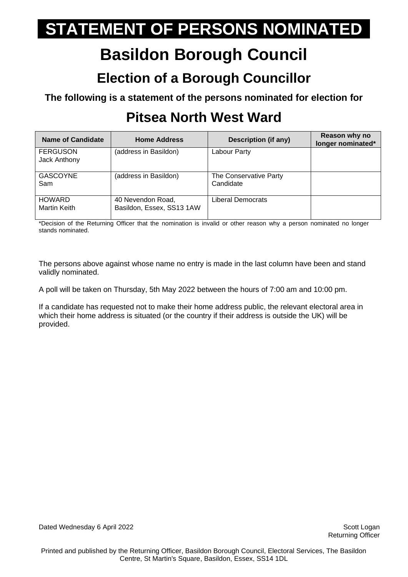## **Basildon Borough Council**

#### **Election of a Borough Councillor**

**The following is a statement of the persons nominated for election for**

### **Pitsea North West Ward**

| Name of Candidate               | <b>Home Address</b>                            | Description (if any)                | Reason why no<br>longer nominated* |
|---------------------------------|------------------------------------------------|-------------------------------------|------------------------------------|
| <b>FERGUSON</b><br>Jack Anthony | (address in Basildon)                          | Labour Party                        |                                    |
| <b>GASCOYNE</b><br>Sam          | (address in Basildon)                          | The Conservative Party<br>Candidate |                                    |
| <b>HOWARD</b><br>Martin Keith   | 40 Nevendon Road,<br>Basildon, Essex, SS13 1AW | Liberal Democrats                   |                                    |

\*Decision of the Returning Officer that the nomination is invalid or other reason why a person nominated no longer stands nominated.

The persons above against whose name no entry is made in the last column have been and stand validly nominated.

A poll will be taken on Thursday, 5th May 2022 between the hours of 7:00 am and 10:00 pm.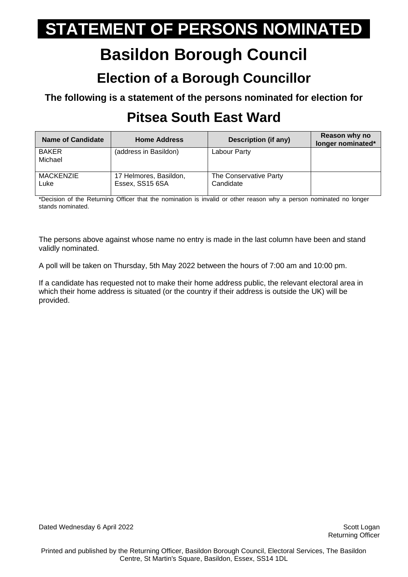## **Basildon Borough Council**

#### **Election of a Borough Councillor**

**The following is a statement of the persons nominated for election for**

### **Pitsea South East Ward**

| <b>Name of Candidate</b> | <b>Home Address</b>                       | Description (if any)                | Reason why no<br>longer nominated* |
|--------------------------|-------------------------------------------|-------------------------------------|------------------------------------|
| <b>BAKER</b><br>Michael  | (address in Basildon)                     | Labour Party                        |                                    |
| MACKENZIE<br>Luke        | 17 Helmores, Basildon,<br>Essex, SS15 6SA | The Conservative Party<br>Candidate |                                    |

\*Decision of the Returning Officer that the nomination is invalid or other reason why a person nominated no longer stands nominated.

The persons above against whose name no entry is made in the last column have been and stand validly nominated.

A poll will be taken on Thursday, 5th May 2022 between the hours of 7:00 am and 10:00 pm.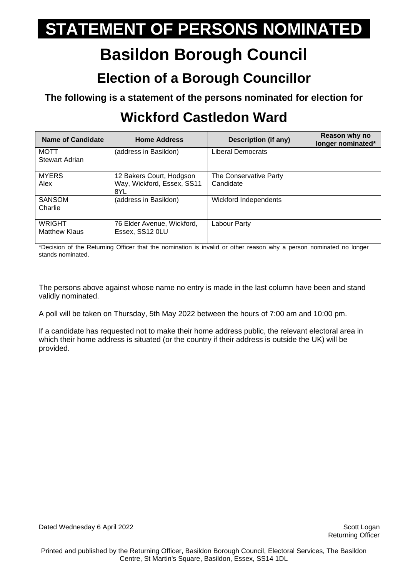## **Basildon Borough Council**

#### **Election of a Borough Councillor**

**The following is a statement of the persons nominated for election for**

### **Wickford Castledon Ward**

| <b>Name of Candidate</b>              | <b>Home Address</b>                                           | Description (if any)                | Reason why no<br>longer nominated* |
|---------------------------------------|---------------------------------------------------------------|-------------------------------------|------------------------------------|
| MOTT<br>Stewart Adrian                | (address in Basildon)                                         | Liberal Democrats                   |                                    |
| <b>MYERS</b><br>Alex                  | 12 Bakers Court, Hodgson<br>Way, Wickford, Essex, SS11<br>8YL | The Conservative Party<br>Candidate |                                    |
| <b>SANSOM</b><br>Charlie              | (address in Basildon)                                         | Wickford Independents               |                                    |
| <b>WRIGHT</b><br><b>Matthew Klaus</b> | 76 Elder Avenue, Wickford,<br>Essex, SS12 0LU                 | Labour Party                        |                                    |

\*Decision of the Returning Officer that the nomination is invalid or other reason why a person nominated no longer stands nominated.

The persons above against whose name no entry is made in the last column have been and stand validly nominated.

A poll will be taken on Thursday, 5th May 2022 between the hours of 7:00 am and 10:00 pm.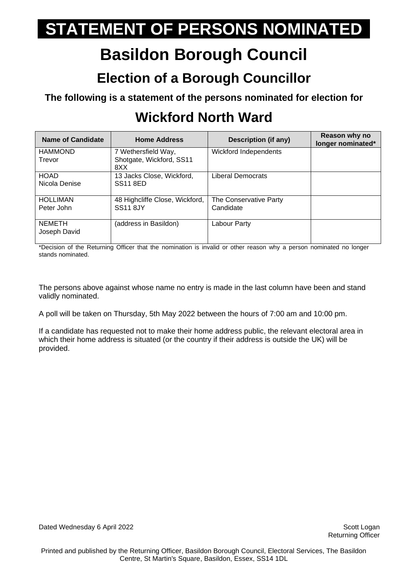## **Basildon Borough Council**

#### **Election of a Borough Councillor**

**The following is a statement of the persons nominated for election for**

### **Wickford North Ward**

| <b>Name of Candidate</b>      | <b>Home Address</b>                                     | Description (if any)                | Reason why no<br>longer nominated* |
|-------------------------------|---------------------------------------------------------|-------------------------------------|------------------------------------|
| <b>HAMMOND</b><br>Trevor      | 7 Wethersfield Way,<br>Shotgate, Wickford, SS11<br>8XX  | <b>Wickford Independents</b>        |                                    |
| <b>HOAD</b><br>Nicola Denise  | 13 Jacks Close, Wickford,<br><b>SS<sub>11</sub></b> 8ED | Liberal Democrats                   |                                    |
| <b>HOLLIMAN</b><br>Peter John | 48 Highcliffe Close, Wickford,<br><b>SS11 8JY</b>       | The Conservative Party<br>Candidate |                                    |
| <b>NEMETH</b><br>Joseph David | (address in Basildon)                                   | Labour Party                        |                                    |

\*Decision of the Returning Officer that the nomination is invalid or other reason why a person nominated no longer stands nominated.

The persons above against whose name no entry is made in the last column have been and stand validly nominated.

A poll will be taken on Thursday, 5th May 2022 between the hours of 7:00 am and 10:00 pm.